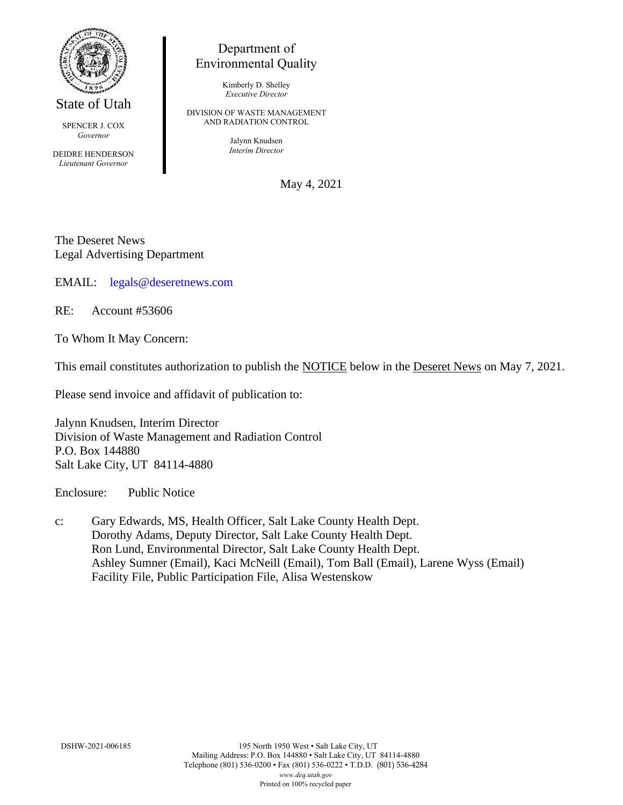

State of Utah

SPENCER J. COX *Governor*

DEIDRE HENDERSON *Lieutenant Governor*

## Department of Environmental Quality

Kimberly D. Shelley *Executive Director*

DIVISION OF WASTE MANAGEMENT AND RADIATION CONTROL

> Jalynn Knudsen *Interim Director*

> > May 4, 2021

The Deseret News Legal Advertising Department

EMAIL: [legals@deseretnews.com](mailto:legals@deseretnews.com)

RE: Account #53606

To Whom It May Concern:

This email constitutes authorization to publish the NOTICE below in the Deseret News on May 7, 2021.

Please send invoice and affidavit of publication to:

Jalynn Knudsen, Interim Director Division of Waste Management and Radiation Control P.O. Box 144880 Salt Lake City, UT 84114-4880

Enclosure: Public Notice

c: Gary Edwards, MS, Health Officer, Salt Lake County Health Dept. Dorothy Adams, Deputy Director, Salt Lake County Health Dept. Ron Lund, Environmental Director, Salt Lake County Health Dept. Ashley Sumner (Email), Kaci McNeill (Email), Tom Ball (Email), Larene Wyss (Email) Facility File, Public Participation File, Alisa Westenskow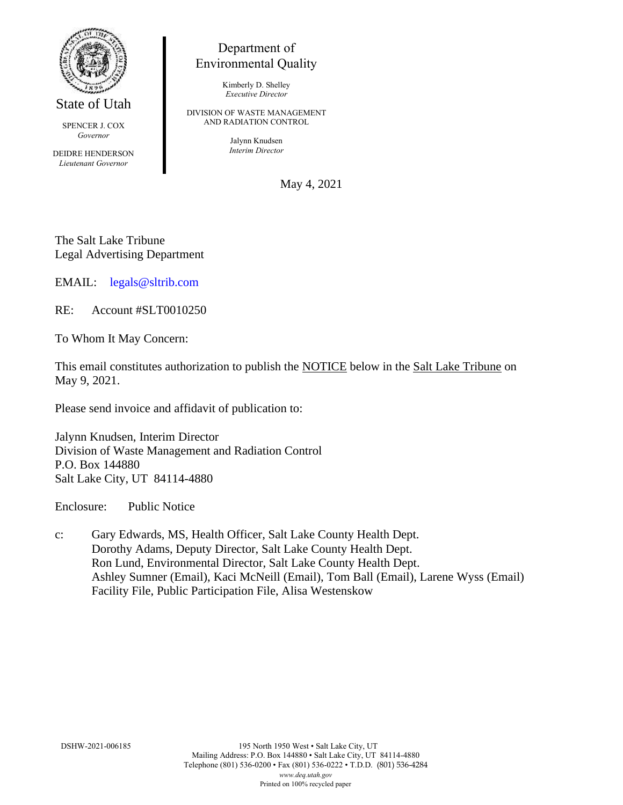

State of Utah

SPENCER J. COX *Governor*

DEIDRE HENDERSON *Lieutenant Governor*

## Department of Environmental Quality

Kimberly D. Shelley *Executive Director*

DIVISION OF WASTE MANAGEMENT AND RADIATION CONTROL

> Jalynn Knudsen *Interim Director*

> > May 4, 2021

The Salt Lake Tribune Legal Advertising Department

EMAIL: [legals@sltrib.com](mailto:legals@sltrib.com)

RE: Account #SLT0010250

To Whom It May Concern:

This email constitutes authorization to publish the NOTICE below in the Salt Lake Tribune on May 9, 2021.

Please send invoice and affidavit of publication to:

Jalynn Knudsen, Interim Director Division of Waste Management and Radiation Control P.O. Box 144880 Salt Lake City, UT 84114-4880

Enclosure: Public Notice

c: Gary Edwards, MS, Health Officer, Salt Lake County Health Dept. Dorothy Adams, Deputy Director, Salt Lake County Health Dept. Ron Lund, Environmental Director, Salt Lake County Health Dept. Ashley Sumner (Email), Kaci McNeill (Email), Tom Ball (Email), Larene Wyss (Email) Facility File, Public Participation File, Alisa Westenskow